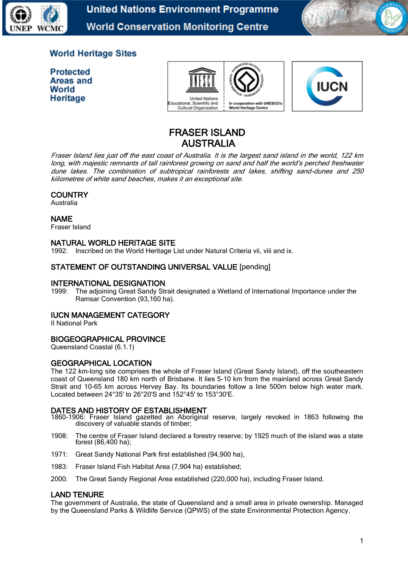

**United Nations Environment Programme World Conservation Monitoring Centre** 



# **World Heritage Sites**

**Protected** Areas and World Heritage



![](_page_0_Picture_6.jpeg)

# FRASER ISLAND AUSTRALIA

Fraser Island lies just off the east coast of Australia. It is the largest sand island in the world, 122 km long, with majestic remnants of tall rainforest growing on sand and half the world's perched freshwater dune lakes. The combination of subtropical rainforests and lakes, shifting sand-dunes and 250 kiilometres of white sand beaches, makes it an exceptional site.

## **COUNTRY**

Australia

#### NAME

Fraser Island

## NATURAL WORLD HERITAGE SITE

1992: Inscribed on the World Heritage List under Natural Criteria vii, viii and ix.

## STATEMENT OF OUTSTANDING UNIVERSAL VALUE [pending]

## INTERNATIONAL DESIGNATION

1999: The adjoining Great Sandy Strait designated a Wetland of International Importance under the Ramsar Convention (93,160 ha).

#### IUCN MANAGEMENT CATEGORY

II National Park

## BIOGEOGRAPHICAL PROVINCE

Queensland Coastal (6.1.1)

#### GEOGRAPHICAL LOCATION

The 122 km-long site comprises the whole of Fraser Island (Great Sandy Island), off the southeastern coast of Queensland 180 km north of Brisbane. It lies 5-10 km from the mainland across Great Sandy Strait and 10-65 km across Hervey Bay. Its boundaries follow a line 500m below high water mark. Located between 24°35' to 26°20'S and 152°45' to 153°30'E.

#### DATES AND HISTORY OF ESTABLISHMENT

- 1860-1906: Fraser Island gazetted an Aboriginal reserve, largely revoked in 1863 following the discovery of valuable stands of timber;
- 1908: The centre of Fraser Island declared a forestry reserve; by 1925 much of the island was a state forest (86,400 ha);
- 1971: Great Sandy National Park first established (94,900 ha),
- 1983: Fraser Island Fish Habitat Area (7,904 ha) established;
- 2000: The Great Sandy Regional Area established (220,000 ha), including Fraser Island.

#### LAND TENURE

The government of Australia, the state of Queensland and a small area in private ownership. Managed by the Queensland Parks & Wildlife Service (QPWS) of the state Environmental Protection Agency.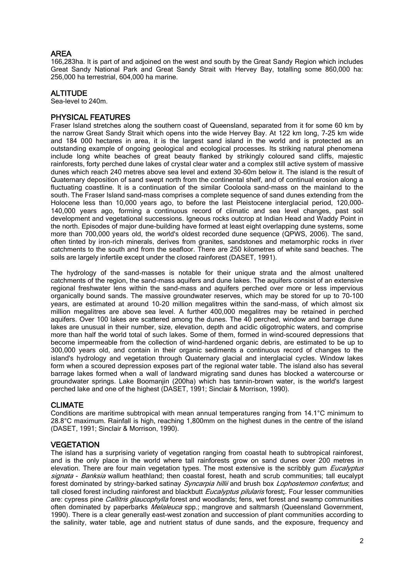## AREA

166,283ha. It is part of and adjoined on the west and south by the Great Sandy Region which includes Great Sandy National Park and Great Sandy Strait with Hervey Bay, totalling some 860,000 ha: 256,000 ha terrestrial, 604,000 ha marine.

## ALTITUDE

Sea-level to 240m.

#### PHYSICAL FEATURES

Fraser Island stretches along the southern coast of Queensland, separated from it for some 60 km by the narrow Great Sandy Strait which opens into the wide Hervey Bay. At 122 km long, 7-25 km wide and 184 000 hectares in area, it is the largest sand island in the world and is protected as an outstanding example of ongoing geological and ecological processes. Its striking natural phenomena include long white beaches of great beauty flanked by strikingly coloured sand cliffs, majestic rainforests, forty perched dune lakes of crystal clear water and a complex still active system of massive dunes which reach 240 metres above sea level and extend 30-60m below it. The island is the result of Quaternary deposition of sand swept north from the continental shelf, and of continual erosion along a fluctuating coastline. It is a continuation of the similar Cooloola sand-mass on the mainland to the south. The Fraser Island sand-mass comprises a complete sequence of sand dunes extending from the Holocene less than 10,000 years ago, to before the last Pleistocene interglacial period, 120,000- 140,000 years ago, forming a continuous record of climatic and sea level changes, past soil development and vegetational successions. Igneous rocks outcrop at Indian Head and Waddy Point in the north. Episodes of major dune-building have formed at least eight overlapping dune systems, some more than 700,000 years old, the world's oldest recorded dune sequence (QPWS, 2006). The sand, often tinted by iron-rich minerals, derives from granites, sandstones and metamorphic rocks in river catchments to the south and from the seafloor. There are 250 kilometres of white sand beaches. The soils are largely infertile except under the closed rainforest (DASET, 1991).

The hydrology of the sand-masses is notable for their unique strata and the almost unaltered catchments of the region, the sand-mass aquifers and dune lakes. The aquifers consist of an extensive regional freshwater lens within the sand-mass and aquifers perched over more or less impervious organically bound sands. The massive groundwater reserves, which may be stored for up to 70-100 years, are estimated at around 10-20 million megalitres within the sand-mass, of which almost six million megalitres are above sea level. A further 400,000 megalitres may be retained in perched aquifers. Over 100 lakes are scattered among the dunes. The 40 perched, window and barrage dune lakes are unusual in their number, size, elevation, depth and acidic oligotrophic waters, and comprise more than half the world total of such lakes. Some of them, formed in wind-scoured depressions that become impermeable from the collection of wind-hardened organic debris, are estimated to be up to 300,000 years old, and contain in their organic sediments a continuous record of changes to the island's hydrology and vegetation through Quaternary glacial and interglacial cycles. Window lakes form when a scoured depression exposes part of the regional water table. The island also has several barrage lakes formed when a wall of landward migrating sand dunes has blocked a watercourse or groundwater springs. Lake Boomanjin (200ha) which has tannin-brown water, is the world's largest perched lake and one of the highest (DASET, 1991; Sinclair & Morrison, 1990).

## CLIMATE

Conditions are maritime subtropical with mean annual temperatures ranging from 14.1°C minimum to 28.8°C maximum. Rainfall is high, reaching 1,800mm on the highest dunes in the centre of the island (DASET, 1991; Sinclair & Morrison, 1990).

## **VEGETATION**

The island has a surprising variety of vegetation ranging from coastal heath to subtropical rainforest, and is the only place in the world where tall rainforests grow on sand dunes over 200 metres in elevation. There are four main vegetation types. The most extensive is the scribbly gum *Eucalyptus* signata - Banksia wallum heathland; then coastal forest, heath and scrub communities; tall eucalypt forest dominated by stringy-barked satinay *Syncarpia hillii* and brush box *Lophostemon confertus*; and tall closed forest including rainforest and blackbutt *Eucalyptus pilularis* forest;. Four lesser communities are: cypress pine *Callitris glaucophylla* forest and woodlands; fens, wet forest and swamp communities often dominated by paperbarks *Melaleuca* spp.; mangrove and saltmarsh (Queensland Government, 1990). There is a clear generally east-west zonation and succession of plant communities according to the salinity, water table, age and nutrient status of dune sands, and the exposure, frequency and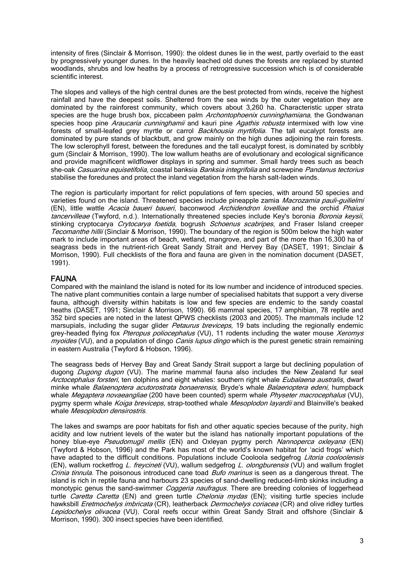intensity of fires (Sinclair & Morrison, 1990): the oldest dunes lie in the west, partly overlaid to the east by progressively younger dunes. In the heavily leached old dunes the forests are replaced by stunted woodlands, shrubs and low heaths by a process of retrogressive succession which is of considerable scientific interest.

The slopes and valleys of the high central dunes are the best protected from winds, receive the highest rainfall and have the deepest soils. Sheltered from the sea winds by the outer vegetation they are dominated by the rainforest community, which covers about 3,260 ha. Characteristic upper strata species are the huge brush box, piccabeen palm *Archontophoenix cunninghamiana*, the Gondwanan species hoop pine *Araucaria cunninghamii* and kauri pine *Agathis robusta* intermixed with low vine forests of small-leafed grey myrtle or carrol Backhousia myrtifolia. The tall eucalypt forests are dominated by pure stands of blackbutt, and grow mainly on the high dunes adjoining the rain forests. The low sclerophyll forest, between the foredunes and the tall eucalypt forest, is dominated by scribbly gum (Sinclair & Morrison, 1990). The low wallum heaths are of evolutionary and ecological significance and provide magnificent wildflower displays in spring and summer. Small hardy trees such as beach she-oak Casuarina equisetifolia, coastal banksia Banksia integrifolia and screwpine Pandanus tectorius stabilise the foredunes and protect the inland vegetation from the harsh salt-laden winds.

The region is particularly important for relict populations of fern species, with around 50 species and varieties found on the island. Threatened species include pineapple zamia Macrozamia pauli-quilielmi (EN), little wattle Acacia baueri baueri, baconwood Archidendron lovelliae and the orchid Phaius tancervilleae (Twyford, n.d.). Internationally threatened species include Key's boronia Boronia keysii, stinking cryptocarya Crytocarya foetida, bogrush Schoenus scabripes, and Fraser Island creeper Tecomanthe hillii (Sinclair & Morrison, 1990). The boundary of the region is 500m below the high water mark to include important areas of beach, wetland, mangrove, and part of the more than 16,300 ha of seagrass beds in the nutrient-rich Great Sandy Strait and Hervey Bay (DASET, 1991; Sinclair & Morrison, 1990). Full checklists of the flora and fauna are given in the nomination document (DASET, 1991).

## FAUNA

Compared with the mainland the island is noted for its low number and incidence of introduced species. The native plant communities contain a large number of specialised habitats that support a very diverse fauna, although diversity within habitats is low and few species are endemic to the sandy coastal heaths (DASET, 1991; Sinclair & Morrison, 1990). 66 mammal species, 17 amphibian, 78 reptile and 352 bird species are noted in the latest QPWS checklists (2003 and 2005). The mammals include 12 marsupials, including the sugar glider *Petaurus breviceps*, 19 bats including the regionally endemic grey-headed flying fox Pteropus poliocephalus (VU), 11 rodents including the water mouse Xeromys [myoides](http://quin.unep-wcmc.org/isdb/taxonomy/tax-gs-search2.cfm?GenName=Xeromys&SpcName=myoides) (VU), and a population of dingo *Canis lupus dingo* which is the purest genetic strain remaining in eastern Australia (Twyford & Hobson, 1996).

The seagrass beds of Hervey Bay and Great Sandy Strait support a large but declining population of dugong *Dugong dugon* (VU). The marine mammal fauna also includes the New Zealand fur seal Arctocephalus forsteri, ten dolphins and eight whales: southern right whale Eubalaena australis, dwarf minke whale *Balaenoptera acutorostrata bonaerensis*, Bryde's whale *Balaenoptera edeni*, humpback whale *Megaptera novaeangliae* (200 have been counted) sperm whale *Physeter macrocephalus* (VU), pygmy sperm whale *Koiga breviceps*, strap-toothed whale *Mesoplodon layardii* and Blainville's beaked whale Mesoplodon densirostris.

The lakes and swamps are poor habitats for fish and other aquatic species because of the purity, high acidity and low nutrient levels of the water but the island has nationally important populations of the honey blue-eye *[Pseudomugil mellis](http://quin.unep-wcmc.org/isdb/taxonomy/tax-gs-search2.cfm?GenName=Pseudomugil&SpcName=mellis)* (EN) and Oxleyan pygmy perch *[Nannoperca oxleyana](http://quin.unep-wcmc.org/isdb/taxonomy/tax-gs-search2.cfm?GenName=Nannoperca&SpcName=oxleyana)* (EN) (Twyford & Hobson, 1996) and the Park has most of the world's known habitat for 'acid frogs' which have adapted to the difficult conditions. Populations include Cooloola sedgefrog [Litoria cooloolensis](http://quin.unep-wcmc.org/isdb/taxonomy/tax-gs-search2.cfm?GenName=Litoria&SpcName=cooloolensis) (EN), wallum rocketfrog [L. freycineti](http://quin.unep-wcmc.org/isdb/taxonomy/tax-gs-search2.cfm?GenName=Litoria&SpcName=freycineti) (VU), wallum sedgefrog [L. olongburensis](http://quin.unep-wcmc.org/isdb/taxonomy/tax-gs-search2.cfm?GenName=Litoria&SpcName=olongburensis) (VU) and wallum froglet [Crinia tinnula](http://quin.unep-wcmc.org/isdb/taxonomy/tax-gs-search2.cfm?GenName=Crinia&SpcName=tinnula). The poisonous introduced cane toad Bufo marinus is seen as a dangerous threat. The island is rich in reptile fauna and harbours 23 species of sand-dwelling reduced-limb skinks including a monotypic genus the sand-swimmer *Coggeria naufragus*. There are breeding colonies of loggerhead turtle *[Caretta Caretta](http://quin.unep-wcmc.org/isdb/taxonomy/tax-gs-search2.cfm?GenName=Caretta&SpcName=caretta)* (EN) and green turtle *[Chelonia mydas](http://quin.unep-wcmc.org/isdb/taxonomy/tax-gs-search2.cfm?GenName=Chelonia&SpcName=mydas)* (EN); visiting turtle species include hawksbill *Eretmochelys imbricata* (CR), leatherback *Dermochelys coriacea* (CR) and olive ridley turtles Lepidochelys olivacea (VU). Coral reefs occur within Great Sandy Strait and offshore (Sinclair & Morrison, 1990). 300 insect species have been identified.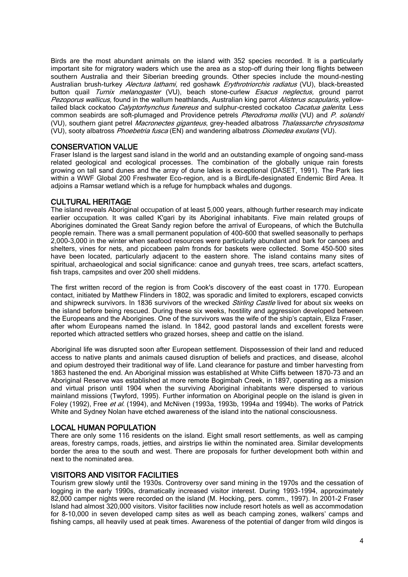Birds are the most abundant animals on the island with 352 species recorded. It is a particularly important site for migratory waders which use the area as a stop-off during their long flights between southern Australia and their Siberian breeding grounds. Other species include the mound-nesting Australian brush-turkey Alectura lathami, red goshawk [Erythrotriorchis radiatus](http://quin.unep-wcmc.org/isdb/taxonomy/tax-gs-search2.cfm?GenName=Erythrotriochis&SpcName=radiatus) (VU), black-breasted button quail [Turnix melanogaster](http://quin.unep-wcmc.org/isdb/taxonomy/tax-gs-search2.cfm?GenName=Turnix&SpcName=melanogaster) (VU), beach stone-curlew [Esacus neglectus,](http://quin.unep-wcmc.org/isdb/taxonomy/tax-gs-search2.cfm?GenName=Esacus&SpcName=neglectus) ground parrot [Pezoporus wallicus,](http://quin.unep-wcmc.org/isdb/taxonomy/tax-gs-search2.cfm?GenName=Pezoporus&SpcName=wallicus) found in the wallum heathlands, Australian king parrot Alisterus scapularis, yellowtailed black cockatoo *Calyptorhynchus funereus* and sulphur-crested cockatoo *Cacatua galerita*. Less common seabirds are soft-plumaged and Providence petrels Pterodroma mollis (VU) and P. solandri (VU), southern giant petrel Macronectes giganteus, grey-headed albatross Thalassarche chrysostoma (VU), sooty albatross Phoebetria fusca (EN) and wandering albatross Diomedea exulans (VU).

## CONSERVATION VALUE

Fraser Island is the largest sand island in the world and an outstanding example of ongoing sand-mass related geological and ecological processes. The combination of the globally unique rain forests growing on tall sand dunes and the array of dune lakes is exceptional (DASET, 1991). The Park lies within a WWF Global 200 Freshwater Eco-region, and is a BirdLife-designated Endemic Bird Area. It adjoins a Ramsar wetland which is a refuge for humpback whales and dugongs.

## CULTURAL HERITAGE

The island reveals Aboriginal occupation of at least 5,000 years, although further research may indicate earlier occupation. It was called K'gari by its Aboriginal inhabitants. Five main related groups of Aborigines dominated the Great Sandy region before the arrival of Europeans, of which the Butchulla people remain. There was a small permanent population of 400-600 that swelled seasonally to perhaps 2,000-3,000 in the winter when seafood resources were particularly abundant and bark for canoes and shelters, vines for nets, and piccabeen palm fronds for baskets were collected. Some 450-500 sites have been located, particularly adjacent to the eastern shore. The island contains many sites of spiritual, archaeological and social significance: canoe and gunyah trees, tree scars, artefact scatters, fish traps, campsites and over 200 shell middens.

The first written record of the region is from Cook's discovery of the east coast in 1770. European contact, initiated by Matthew Flinders in 1802, was sporadic and limited to explorers, escaped convicts and shipwreck survivors. In 1836 survivors of the wrecked *Stirling Castle* lived for about six weeks on the island before being rescued. During these six weeks, hostility and aggression developed between the Europeans and the Aborigines. One of the survivors was the wife of the ship's captain, Eliza Fraser, after whom Europeans named the island. In 1842, good pastoral lands and excellent forests were reported which attracted settlers who grazed horses, sheep and cattle on the island.

Aboriginal life was disrupted soon after European settlement. Dispossession of their land and reduced access to native plants and animals caused disruption of beliefs and practices, and disease, alcohol and opium destroyed their traditional way of life. Land clearance for pasture and timber harvesting from 1863 hastened the end. An Aboriginal mission was established at White Cliffs between 1870–73 and an Aboriginal Reserve was established at more remote Bogimbah Creek, in 1897, operating as a mission and virtual prison until 1904 when the surviving Aboriginal inhabitants were dispersed to various mainland missions (Twyford, 1995). Further information on Aboriginal people on the island is given in Foley (1992), Free et al. (1994), and McNiven (1993a, 1993b, 1994a and 1994b). The works of Patrick White and Sydney Nolan have etched awareness of the island into the national consciousness.

#### LOCAL HUMAN POPULATION

There are only some 116 residents on the island. Eight small resort settlements, as well as camping areas, forestry camps, roads, jetties, and airstrips lie within the nominated area. Similar developments border the area to the south and west. There are proposals for further development both within and next to the nominated area.

#### VISITORS AND VISITOR FACILITIES

Tourism grew slowly until the 1930s. Controversy over sand mining in the 1970s and the cessation of logging in the early 1990s, dramatically increased visitor interest. During 1993-1994, approximately 82,000 camper nights were recorded on the island (M. Hocking, pers. comm., 1997). In 2001-2 Fraser Island had almost 320,000 visitors. Visitor facilities now include resort hotels as well as accommodation for 8-10,000 in seven developed camp sites as well as beach camping zones, walkers' camps and fishing camps, all heavily used at peak times. Awareness of the potential of danger from wild dingos is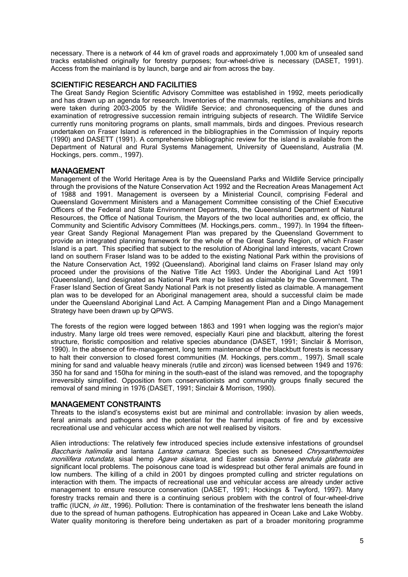necessary. There is a network of 44 km of gravel roads and approximately 1,000 km of unsealed sand tracks established originally for forestry purposes; four-wheel-drive is necessary (DASET, 1991). Access from the mainland is by launch, barge and air from across the bay.

## SCIENTIFIC RESEARCH AND FACILITIES

The Great Sandy Region Scientific Advisory Committee was established in 1992, meets periodically and has drawn up an agenda for research. Inventories of the mammals, reptiles, amphibians and birds were taken during 2003-2005 by the Wildlife Service; and chronosequencing of the dunes and examination of retrogressive succession remain intriguing subjects of research. The Wildlife Service currently runs monitoring programs on plants, small mammals, birds and dingoes. Previous research undertaken on Fraser Island is referenced in the bibliographies in the Commission of Inquiry reports (1990) and DASETT (1991). A comprehensive bibliographic review for the island is available from the Department of Natural and Rural Systems Management, University of Queensland, Australia (M. Hockings, pers. comm., 1997).

## MANAGEMENT

Management of the World Heritage Area is by the Queensland Parks and Wildlife Service principally through the provisions of the Nature Conservation Act 1992 and the Recreation Areas Management Act of 1988 and 1991. Management is overseen by a Ministerial Council, comprising Federal and Queensland Government Ministers and a Management Committee consisting of the Chief Executive Officers of the Federal and State Environment Departments, the Queensland Department of Natural Resources, the Office of National Tourism, the Mayors of the two local authorities and, ex officio, the Community and Scientific Advisory Committees (M. Hockings,pers. comm., 1997). In 1994 the fifteenyear Great Sandy Regional Management Plan was prepared by the Queensland Government to provide an integrated planning framework for the whole of the Great Sandy Region, of which Fraser Island is a part. This specified that subject to the resolution of Aboriginal land interests, vacant Crown land on southern Fraser Island was to be added to the existing National Park within the provisions of the Nature Conservation Act, 1992 (Queensland). Aboriginal land claims on Fraser Island may only proceed under the provisions of the Native Title Act 1993. Under the Aboriginal Land Act 1991 (Queensland), land designated as National Park may be listed as claimable by the Government. The Fraser Island Section of Great Sandy National Park is not presently listed as claimable. A management plan was to be developed for an Aboriginal management area, should a successful claim be made under the Queensland Aboriginal Land Act. A Camping Management Plan and a Dingo Management Strategy have been drawn up by QPWS.

The forests of the region were logged between 1863 and 1991 when logging was the region's major industry. Many large old trees were removed, especially Kauri pine and blackbutt, altering the forest structure, floristic composition and relative species abundance (DASET, 1991; Sinclair & Morrison, 1990). In the absence of fire-management, long term maintenance of the blackbutt forests is necessary to halt their conversion to closed forest communities (M. Hockings, pers.comm., 1997). Small scale mining for sand and valuable heavy minerals (rutile and zircon) was licensed between 1949 and 1976: 350 ha for sand and 150ha for mining in the south-east of the island was removed, and the topography irreversibly simplified. Opposition from conservationists and community groups finally secured the removal of sand mining in 1976 (DASET, 1991; Sinclair & Morrison, 1990).

#### MANAGEMENT CONSTRAINTS

Threats to the island's ecosystems exist but are minimal and controllable: invasion by alien weeds, feral animals and pathogens and the potential for the harmful impacts of fire and by excessive recreational use and vehicular access which are not well realised by visitors.

Alien introductions: The relatively few introduced species include extensive infestations of groundsel Baccharis halimolia and lantana Lantana camara. Species such as boneseed Chrysanthemoides monilifera rotundata, sisal hemp Agave sisalana, and Easter cassia Senna pendula glabrata are significant local problems. The poisonous cane toad is widespread but other feral animals are found in low numbers. The killing of a child in 2001 by dingoes prompted culling and stricter regulations on interaction with them. The impacts of recreational use and vehicular access are already under active management to ensure resource conservation (DASET, 1991; Hockings & Twyford, 1997). Many forestry tracks remain and there is a continuing serious problem with the control of four-wheel-drive traffic (IUCN, in litt., 1996). Pollution: There is contamination of the freshwater lens beneath the island due to the spread of human pathogens. Eutrophication has appeared in Ocean Lake and Lake Wobby. Water quality monitoring is therefore being undertaken as part of a broader monitoring programme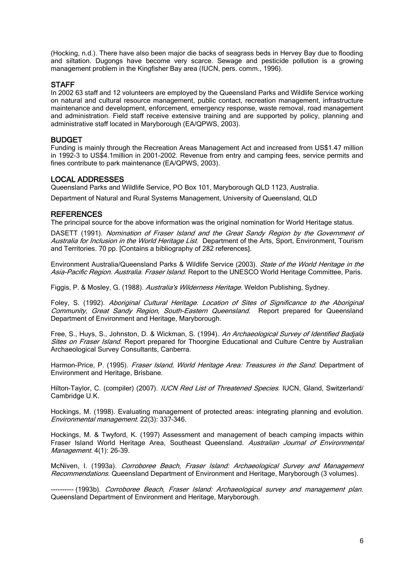(Hocking, n.d.). There have also been major die backs of seagrass beds in Hervey Bay due to flooding and siltation. Dugongs have become very scarce. Sewage and pesticide pollution is a growing management problem in the Kingfisher Bay area (IUCN, pers. comm., 1996).

#### **STAFF**

In 2002 63 staff and 12 volunteers are employed by the Queensland Parks and Wildlife Service working on natural and cultural resource management, public contact, recreation management, infrastructure maintenance and development, enforcement, emergency response, waste removal, road management and administration. Field staff receive extensive training and are supported by policy, planning and administrative staff located in Maryborough (EA/QPWS, 2003).

#### BUDGET

Funding is mainly through the Recreation Areas Management Act and increased from US\$1.47 million in 1992-3 to US\$4.1million in 2001-2002. Revenue from entry and camping fees, service permits and fines contribute to park maintenance (EA/QPWS, 2003).

#### LOCAL ADDRESSES

Queensland Parks and Wildlife Service, PO Box 101, Maryborough QLD 1123, Australia.

Department of Natural and Rural Systems Management, University of Queensland, QLD

#### **REFERENCES**

The principal source for the above information was the original nomination for World Heritage status.

DASETT (1991). Nomination of Fraser Island and the Great Sandy Region by the Government of Australia for Inclusion in the World Heritage List. Department of the Arts, Sport, Environment, Tourism and Territories. 70 pp. [Contains a bibliography of 282 references].

Environment Australia/Queensland Parks & Wildlife Service (2003). State of the World Heritage in the Asia-Pacific Region. Australia. Fraser Island. Report to the UNESCO World Heritage Committee, Paris.

Figgis, P. & Mosley, G. (1988). Australia's Wilderness Heritage. Weldon Publishing, Sydney.

Foley, S. (1992). Aboriginal Cultural Heritage. Location of Sites of Significance to the Aboriginal Community, Great Sandy Region, South-Eastern Queensland. Report prepared for Queensland Department of Environment and Heritage, Maryborough.

Free, S., Huys, S., Johnston, D. & Wickman, S. (1994). An Archaeological Survey of Identified Badjala Sites on Fraser Island. Report prepared for Thoorgine Educational and Culture Centre by Australian Archaeological Survey Consultants, Canberra.

Harmon-Price, P. (1995). *Fraser Island, World Heritage Area: Treasures in the Sand*. Department of Environment and Heritage, Brisbane.

Hilton-Taylor, C. (compiler) (2007). IUCN Red List of Threatened Species. IUCN, Gland, Switzerland/ Cambridge U.K.

Hockings, M. (1998). Evaluating management of protected areas: integrating planning and evolution. Environmental management. 22(3): 337–346.

Hockings, M. & Twyford, K. (1997) Assessment and management of beach camping impacts within Fraser Island World Heritage Area, Southeast Queensland. Australian Journal of Environmental Management. 4(1): 26-39.

McNiven, I. (1993a). Corroboree Beach, Fraser Island: Archaeological Survey and Management Recommendations. Queensland Department of Environment and Heritage, Maryborough (3 volumes).

---------- (1993b). Corroboree Beach, Fraser Island: Archaeological survey and management plan. Queensland Department of Environment and Heritage, Maryborough.